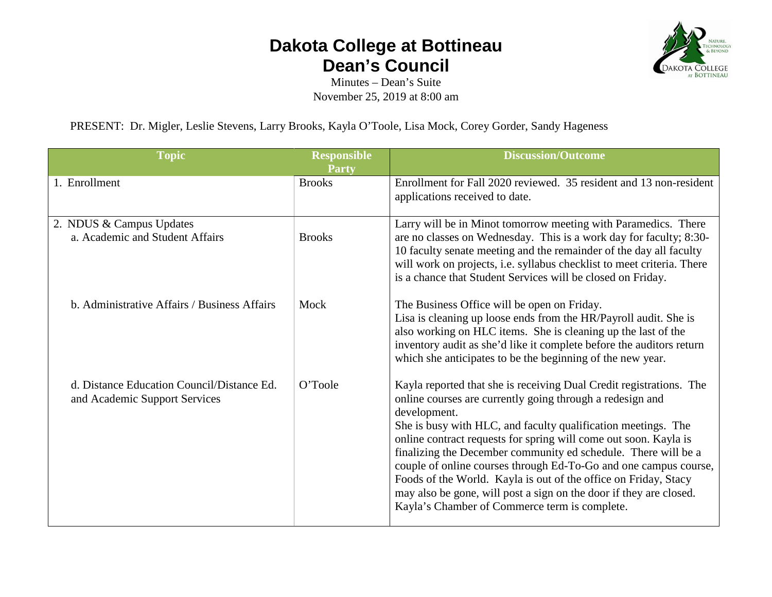## **Dakota College at Bottineau Dean's Council**



Minutes – Dean's Suite November 25, 2019 at 8:00 am

PRESENT: Dr. Migler, Leslie Stevens, Larry Brooks, Kayla O'Toole, Lisa Mock, Corey Gorder, Sandy Hageness

| <b>Topic</b>                                                                | <b>Responsible</b><br><b>Party</b> | <b>Discussion/Outcome</b>                                                                                                                                                                                                                                                                                                                                                                                                                                                                                                                                                                                             |
|-----------------------------------------------------------------------------|------------------------------------|-----------------------------------------------------------------------------------------------------------------------------------------------------------------------------------------------------------------------------------------------------------------------------------------------------------------------------------------------------------------------------------------------------------------------------------------------------------------------------------------------------------------------------------------------------------------------------------------------------------------------|
| 1. Enrollment                                                               | <b>Brooks</b>                      | Enrollment for Fall 2020 reviewed. 35 resident and 13 non-resident<br>applications received to date.                                                                                                                                                                                                                                                                                                                                                                                                                                                                                                                  |
| 2. NDUS & Campus Updates<br>a. Academic and Student Affairs                 | <b>Brooks</b>                      | Larry will be in Minot tomorrow meeting with Paramedics. There<br>are no classes on Wednesday. This is a work day for faculty; 8:30-<br>10 faculty senate meeting and the remainder of the day all faculty<br>will work on projects, i.e. syllabus checklist to meet criteria. There<br>is a chance that Student Services will be closed on Friday.                                                                                                                                                                                                                                                                   |
| b. Administrative Affairs / Business Affairs                                | Mock                               | The Business Office will be open on Friday.<br>Lisa is cleaning up loose ends from the HR/Payroll audit. She is<br>also working on HLC items. She is cleaning up the last of the<br>inventory audit as she'd like it complete before the auditors return<br>which she anticipates to be the beginning of the new year.                                                                                                                                                                                                                                                                                                |
| d. Distance Education Council/Distance Ed.<br>and Academic Support Services | O'Toole                            | Kayla reported that she is receiving Dual Credit registrations. The<br>online courses are currently going through a redesign and<br>development.<br>She is busy with HLC, and faculty qualification meetings. The<br>online contract requests for spring will come out soon. Kayla is<br>finalizing the December community ed schedule. There will be a<br>couple of online courses through Ed-To-Go and one campus course,<br>Foods of the World. Kayla is out of the office on Friday, Stacy<br>may also be gone, will post a sign on the door if they are closed.<br>Kayla's Chamber of Commerce term is complete. |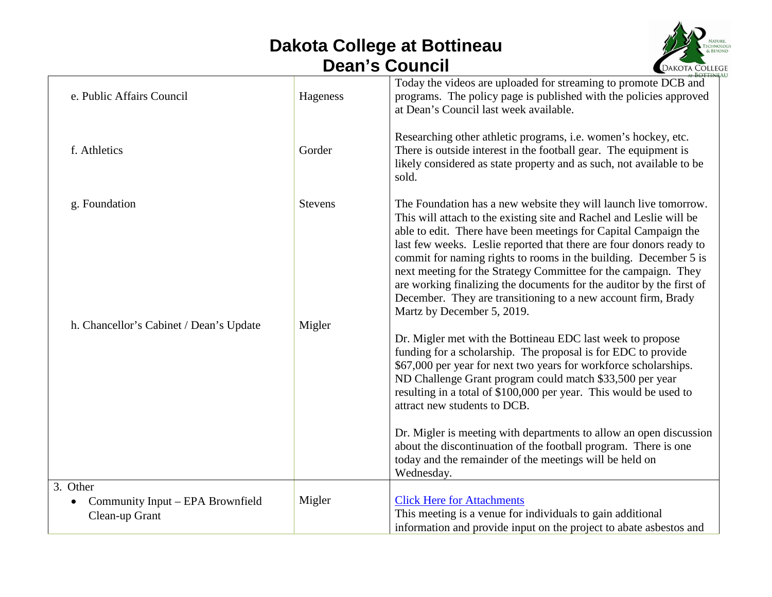## **Dakota College at Bottineau Dean's Council**



| e. Public Affairs Council                     | Hageness       | Today the videos are uploaded for streaming to promote DCB and<br>programs. The policy page is published with the policies approved<br>at Dean's Council last week available.                                                                                                                                                                                                                                                                                                                                                                                                                  |
|-----------------------------------------------|----------------|------------------------------------------------------------------------------------------------------------------------------------------------------------------------------------------------------------------------------------------------------------------------------------------------------------------------------------------------------------------------------------------------------------------------------------------------------------------------------------------------------------------------------------------------------------------------------------------------|
| f. Athletics                                  | Gorder         | Researching other athletic programs, i.e. women's hockey, etc.<br>There is outside interest in the football gear. The equipment is<br>likely considered as state property and as such, not available to be<br>sold.                                                                                                                                                                                                                                                                                                                                                                            |
| g. Foundation                                 | <b>Stevens</b> | The Foundation has a new website they will launch live tomorrow.<br>This will attach to the existing site and Rachel and Leslie will be<br>able to edit. There have been meetings for Capital Campaign the<br>last few weeks. Leslie reported that there are four donors ready to<br>commit for naming rights to rooms in the building. December 5 is<br>next meeting for the Strategy Committee for the campaign. They<br>are working finalizing the documents for the auditor by the first of<br>December. They are transitioning to a new account firm, Brady<br>Martz by December 5, 2019. |
| h. Chancellor's Cabinet / Dean's Update       | Migler         | Dr. Migler met with the Bottineau EDC last week to propose<br>funding for a scholarship. The proposal is for EDC to provide<br>\$67,000 per year for next two years for workforce scholarships.<br>ND Challenge Grant program could match \$33,500 per year<br>resulting in a total of \$100,000 per year. This would be used to<br>attract new students to DCB.<br>Dr. Migler is meeting with departments to allow an open discussion<br>about the discontinuation of the football program. There is one<br>today and the remainder of the meetings will be held on<br>Wednesday.             |
| 3. Other                                      |                |                                                                                                                                                                                                                                                                                                                                                                                                                                                                                                                                                                                                |
| Community Input - EPA Brownfield<br>$\bullet$ | Migler         | <b>Click Here for Attachments</b>                                                                                                                                                                                                                                                                                                                                                                                                                                                                                                                                                              |
| Clean-up Grant                                |                | This meeting is a venue for individuals to gain additional<br>information and provide input on the project to abate asbestos and                                                                                                                                                                                                                                                                                                                                                                                                                                                               |